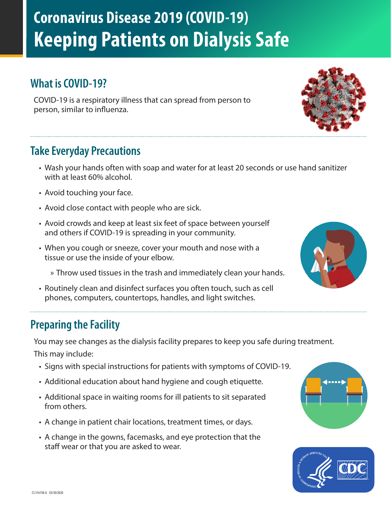# **Coronavirus Disease 2019 (COVID-19) Keeping Patients on Dialysis Safe**

## **What is COVID-19?**

COVID-19 is a respiratory illness that can spread from person to person, similar to influenza.

## **Take Everyday Precautions**

- Wash your hands often with soap and water for at least 20 seconds or use hand sanitizer with at least 60% alcohol.
- Avoid touching your face.
- Avoid close contact with people who are sick.
- Avoid crowds and keep at least six feet of space between yourself and others if COVID-19 is spreading in your community.
- When you cough or sneeze, cover your mouth and nose with a tissue or use the inside of your elbow.
	- » Throw used tissues in the trash and immediately clean your hands.
- Routinely clean and disinfect surfaces you often touch, such as cell phones, computers, countertops, handles, and light switches.



You may see changes as the dialysis facility prepares to keep you safe during treatment. This may include:

- Signs with special instructions for patients with symptoms of COVID-19.
- Additional education about hand hygiene and cough etiquette.
- Additional space in waiting rooms for ill patients to sit separated from others.
- A change in patient chair locations, treatment times, or days.
- A change in the gowns, facemasks, and eye protection that the staff wear or that you are asked to wear.